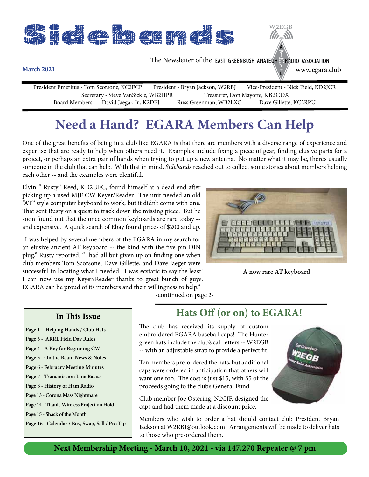

## **Need a Hand? EGARA Members Can Help**

One of the great benefits of being in a club like EGARA is that there are members with a diverse range of experience and expertise that are ready to help when others need it. Examples include fixing a piece of gear, finding elusive parts for a project, or perhaps an extra pair of hands when trying to put up a new antenna. No matter what it may be, there's usually someone in the club that can help. With that in mind, *Sidebands* reached out to collect some stories about members helping each other -- and the examples were plentiful.

Elvin " Rusty" Reed, KD2UFC, found himself at a dead end after picking up a used MJF CW Keyer/Reader. The unit needed an old "AT" style computer keyboard to work, but it didn't come with one. That sent Rusty on a quest to track down the missing piece. But he soon found out that the once common keyboards are rare today - and expensive. A quick search of Ebay found prices of \$200 and up.

"I was helped by several members of the EGARA in my search for an elusive ancient AT keyboard -- the kind with the five pin DIN plug," Rusty reported. "I had all but given up on finding one when club members Tom Scorsone, Dave Gillette, and Dave Jaeger were successful in locating what I needed. I was ecstatic to say the least! I can now use my Keyer/Reader thanks to great bunch of guys. EGARA can be proud of its members and their willingness to help."



**A now rare AT keyboard**

-continued on page 2-

#### **In This Issue**

- **Page 1 Helping Hands / Club Hats**
- **Page 3 ARRL Field Day Rules**
- **Page 4 A Key for Beginning CW**
- **Page 5 On the Beam News & Notes**
- **Page 6 February Meeting Minutes**
- **Page 7 Transmission Line Basics**
- **Page 8 History of Ham Radio**
- **Page 13 Corona Mass Nightmare**
- **Page 14 Titanic Wireless Project on Hold**

**Page 15 - Shack of the Month** 

**Page 16 - Calendar / Buy, Swap, Sell / Pro Tip**

### **Hats Off (or on) to EGARA!**

The club has received its supply of custom embroidered EGARA baseball caps! The Hunter green hats include the club's call letters -- W2EGB -- with an adjustable strap to provide a perfect fit.

Ten members pre-ordered the hats, but additional caps were ordered in anticipation that others will want one too. The cost is just \$15, with \$5 of the proceeds going to the club's General Fund.

Club member Joe Ostering, N2CJF, designed the caps and had them made at a discount price.

Members who wish to order a hat should contact club President Bryan Jackson at W2RBJ@outlook.com. Arrangements will be made to deliver hats to those who pre-ordered them.

#### **Next Membership Meeting - March 10, 2021 - via 147.270 Repeater @ 7 pm**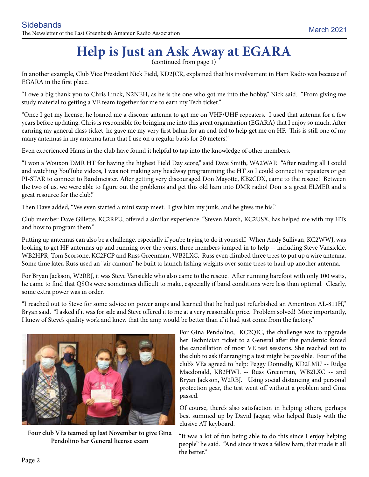# Help is Just an Ask Away at EGARA

In another example, Club Vice President Nick Field, KD2JCR, explained that his involvement in Ham Radio was because of EGARA in the first place.

"I owe a big thank you to Chris Linck, N2NEH, as he is the one who got me into the hobby," Nick said. "From giving me study material to getting a VE team together for me to earn my Tech ticket."

"Once I got my license, he loaned me a discone antenna to get me on VHF/UHF repeaters. I used that antenna for a few years before updating. Chris is responsible for bringing me into this great organization (EGARA) that I enjoy so much. After earning my general class ticket, he gave me my very first balun for an end-fed to help get me on HF. This is still one of my many antennas in my antenna farm that I use on a regular basis for 20 meters."

Even experienced Hams in the club have found it helpful to tap into the knowledge of other members.

"I won a Wouxon DMR HT for having the highest Field Day score," said Dave Smith, WA2WAP. "After reading all I could and watching YouTube videos, I was not making any headway programming the HT so I could connect to repeaters or get PI-STAR to connect to Bandmeister. After getting very discouraged Don Mayotte, KB2CDX, came to the rescue! Between the two of us, we were able to figure out the problems and get this old ham into DMR radio! Don is a great ELMER and a great resource for the club."

Then Dave added, "We even started a mini swap meet. I give him my junk, and he gives me his."

Club member Dave Gillette, KC2RPU, offered a similar experience. "Steven Marsh, KC2USX, has helped me with my HTs and how to program them."

Putting up antennas can also be a challenge, especially if you're trying to do it yourself. When Andy Sullivan, KC2WWJ, was looking to get HF antennas up and running over the years, three members jumped in to help -- including Steve Vansickle, WB2HPR, Tom Scorsone, KC2FCP and Russ Greenman, WB2LXC. Russ even climbed three trees to put up a wire antenna. Some time later, Russ used an "air cannon" he built to launch fishing weights over some trees to haul up another antenna.

For Bryan Jackson, W2RBJ, it was Steve Vansickle who also came to the rescue. After running barefoot with only 100 watts, he came to find that QSOs were sometimes difficult to make, especially if band conditions were less than optimal. Clearly, some extra power was in order.

"I reached out to Steve for some advice on power amps and learned that he had just refurbished an Ameritron AL-811H," Bryan said. "I asked if it was for sale and Steve offered it to me at a very reasonable price. Problem solved! More importantly, I knew of Steve's quality work and knew that the amp would be better than if it had just come from the factory."



**Four club VEs teamed up last November to give Gina Pendolino her General license exam**

For Gina Pendolino, KC2QJC, the challenge was to upgrade her Technician ticket to a General after the pandemic forced the cancellation of most VE test sessions. She reached out to the club to ask if arranging a test might be possible. Four of the club's VEs agreed to help: Peggy Donnelly, KD2LMU -- Ridge Macdonald, KB2HWL -- Russ Greenman, WB2LXC -- and Bryan Jackson, W2RBJ. Using social distancing and personal protection gear, the test went off without a problem and Gina passed.

Of course, there's also satisfaction in helping others, perhaps best summed up by David Jaegar, who helped Rusty with the elusive AT keyboard.

"It was a lot of fun being able to do this since I enjoy helping people" he said. "And since it was a fellow ham, that made it all the better."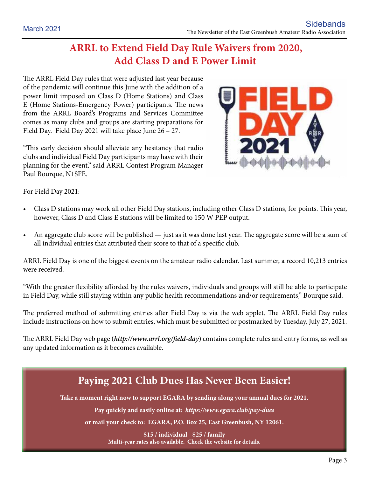### **ARRL to Extend Field Day Rule Waivers from 2020, Add Class D and E Power Limit**

The ARRL Field Day rules that were adjusted last year because of the pandemic will continue this June with the addition of a power limit imposed on Class D (Home Stations) and Class E (Home Stations-Emergency Power) participants. The news from the ARRL Board's Programs and Services Committee comes as many clubs and groups are starting preparations for Field Day. Field Day 2021 will take place June 26 – 27.

"This early decision should alleviate any hesitancy that radio clubs and individual Field Day participants may have with their planning for the event," said ARRL Contest Program Manager Paul Bourque, N1SFE.



For Field Day 2021:

- Class D stations may work all other Field Day stations, including other Class D stations, for points. This year, however, Class D and Class E stations will be limited to 150 W PEP output.
- An aggregate club score will be published just as it was done last year. The aggregate score will be a sum of all individual entries that attributed their score to that of a specific club.

ARRL Field Day is one of the biggest events on the amateur radio calendar. Last summer, a record 10,213 entries were received.

"With the greater flexibility afforded by the rules waivers, individuals and groups will still be able to participate in Field Day, while still staying within any public health recommendations and/or requirements," Bourque said.

The preferred method of submitting entries after Field Day is via the web applet. The ARRL Field Day rules include instructions on how to submit entries, which must be submitted or postmarked by Tuesday, July 27, 2021.

The ARRL Field Day web page (*http://www.arrl.org/field-day*) contains complete rules and entry forms, as well as any updated information as it becomes available.

### **Paying 2021 Club Dues Has Never Been Easier! Take a moment right now to support EGARA by sending along your annual dues for 2021. Pay quickly and easily online at:** *https://www.egara.club/pay-dues*

**or mail your check to: EGARA, P.O. Box 25, East Greenbush, NY 12061.**

**\$15 / individual - \$25 / family Multi-year rates also available. Check the website for details.**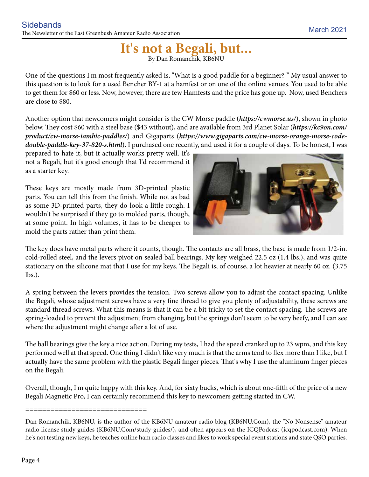# It's not a Begali, but...

One of the questions I'm most frequently asked is, "What is a good paddle for a beginner?"" My usual answer to this question is to look for a used Bencher BY-1 at a hamfest or on one of the online venues. You used to be able to get them for \$60 or less. Now, however, there are few Hamfests and the price has gone up. Now, used Benchers are close to \$80.

Another option that newcomers might consider is the CW Morse paddle (*https://cwmorse.us/*), shown in photo below. They cost \$60 with a steel base (\$43 without), and are available from 3rd Planet Solar (*https://kc9on.com/ product/cw-morse-iambic-paddles/*) and Gigaparts (*https://www.gigaparts.com/cw-morse-orange-morse-codedouble-paddle-key-37-820-s.html*). I purchased one recently, and used it for a couple of days. To be honest, I was

prepared to hate it, but it actually works pretty well. It's not a Begali, but it's good enough that I'd recommend it as a starter key.

These keys are mostly made from 3D-printed plastic parts. You can tell this from the finish. While not as bad as some 3D-printed parts, they do look a little rough. I wouldn't be surprised if they go to molded parts, though, at some point. In high volumes, it has to be cheaper to mold the parts rather than print them.



The key does have metal parts where it counts, though. The contacts are all brass, the base is made from 1/2-in. cold-rolled steel, and the levers pivot on sealed ball bearings. My key weighed 22.5 oz (1.4 lbs.), and was quite stationary on the silicone mat that I use for my keys. The Begali is, of course, a lot heavier at nearly 60 oz. (3.75 lbs.).

A spring between the levers provides the tension. Two screws allow you to adjust the contact spacing. Unlike the Begali, whose adjustment screws have a very fine thread to give you plenty of adjustability, these screws are standard thread screws. What this means is that it can be a bit tricky to set the contact spacing. The screws are spring-loaded to prevent the adjustment from changing, but the springs don't seem to be very beefy, and I can see where the adjustment might change after a lot of use.

The ball bearings give the key a nice action. During my tests, I had the speed cranked up to 23 wpm, and this key performed well at that speed. One thing I didn't like very much is that the arms tend to flex more than I like, but I actually have the same problem with the plastic Begali finger pieces. That's why I use the aluminum finger pieces on the Begali.

Overall, though, I'm quite happy with this key. And, for sixty bucks, which is about one-fifth of the price of a new Begali Magnetic Pro, I can certainly recommend this key to newcomers getting started in CW.

#### =============================

Dan Romanchik, KB6NU, is the author of the KB6NU amateur radio blog (KB6NU.Com), the "No Nonsense" amateur radio license study guides (KB6NU.Com/study-guides/), and often appears on the ICQPodcast (icqpodcast.com). When he's not testing new keys, he teaches online ham radio classes and likes to work special event stations and state QSO parties.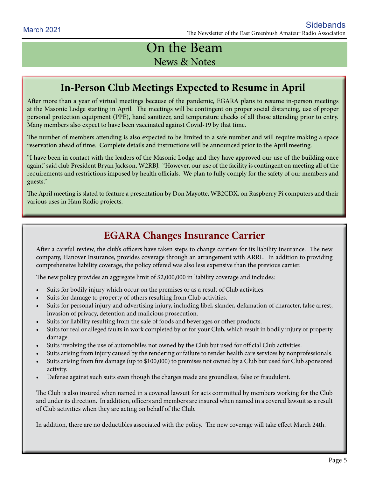### On the Beam News & Notes

### **In-Person Club Meetings Expected to Resume in April**

After more than a year of virtual meetings because of the pandemic, EGARA plans to resume in-person meetings at the Masonic Lodge starting in April. The meetings will be contingent on proper social distancing, use of proper personal protection equipment (PPE), hand sanitizer, and temperature checks of all those attending prior to entry. Many members also expect to have been vaccinated against Covid-19 by that time.

The number of members attending is also expected to be limited to a safe number and will require making a space reservation ahead of time. Complete details and instructions will be announced prior to the April meeting.

"I have been in contact with the leaders of the Masonic Lodge and they have approved our use of the building once again," said club President Bryan Jackson, W2RBJ. "However, our use of the facility is contingent on meeting all of the requirements and restrictions imposed by health officials. We plan to fully comply for the safety of our members and guests."

The April meeting is slated to feature a presentation by Don Mayotte, WB2CDX, on Raspberry Pi computers and their various uses in Ham Radio projects.

### **EGARA Changes Insurance Carrier**

After a careful review, the club's officers have taken steps to change carriers for its liability insurance. The new company, Hanover Insurance, provides coverage through an arrangement with ARRL. In addition to providing comprehensive liability coverage, the policy offered was also less expensive than the previous carrier.

The new policy provides an aggregate limit of \$2,000,000 in liability coverage and includes:

- • Suits for bodily injury which occur on the premises or as a result of Club activities.
- Suits for damage to property of others resulting from Club activities.
- Suits for personal injury and advertising injury, including libel, slander, defamation of character, false arrest, invasion of privacy, detention and malicious prosecution.
- Suits for liability resulting from the sale of foods and beverages or other products.
- Suits for real or alleged faults in work completed by or for your Club, which result in bodily injury or property damage.
- Suits involving the use of automobiles not owned by the Club but used for official Club activities.
- Suits arising from injury caused by the rendering or failure to render health care services by nonprofessionals.
- Suits arising from fire damage (up to \$100,000) to premises not owned by a Club but used for Club sponsored activity.
- Defense against such suits even though the charges made are groundless, false or fraudulent.

The Club is also insured when named in a covered lawsuit for acts committed by members working for the Club and under its direction. In addition, officers and members are insured when named in a covered lawsuit as a result of Club activities when they are acting on behalf of the Club.

In addition, there are no deductibles associated with the policy. The new coverage will take effect March 24th.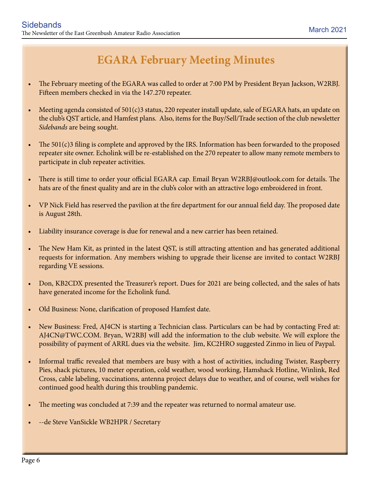### **EGARA February Meeting Minutes**

- The February meeting of the EGARA was called to order at 7:00 PM by President Bryan Jackson, W2RBJ. Fifteen members checked in via the 147.270 repeater.
- Meeting agenda consisted of  $501(c)3$  status, 220 repeater install update, sale of EGARA hats, an update on the club's QST article, and Hamfest plans. Also, items for the Buy/Sell/Trade section of the club newsletter *Sidebands* are being sought.
- The  $501(c)3$  filing is complete and approved by the IRS. Information has been forwarded to the proposed repeater site owner. Echolink will be re-established on the 270 repeater to allow many remote members to participate in club repeater activities.
- There is still time to order your official EGARA cap. Email Bryan W2RBJ@outlook.com for details. The hats are of the finest quality and are in the club's color with an attractive logo embroidered in front.
- VP Nick Field has reserved the pavilion at the fire department for our annual field day. The proposed date is August 28th.
- Liability insurance coverage is due for renewal and a new carrier has been retained.
- The New Ham Kit, as printed in the latest QST, is still attracting attention and has generated additional requests for information. Any members wishing to upgrade their license are invited to contact W2RBJ regarding VE sessions.
- Don, KB2CDX presented the Treasurer's report. Dues for 2021 are being collected, and the sales of hats have generated income for the Echolink fund.
- Old Business: None, clarification of proposed Hamfest date.
- New Business: Fred, AJ4CN is starting a Technician class. Particulars can be had by contacting Fred at: AJ4CN@TWC.COM. Bryan, W2RBJ will add the information to the club website. We will explore the possibility of payment of ARRL dues via the website. Jim, KC2HRO suggested Zinmo in lieu of Paypal.
- Informal traffic revealed that members are busy with a host of activities, including Twister, Raspberry Pies, shack pictures, 10 meter operation, cold weather, wood working, Hamshack Hotline, Winlink, Red Cross, cable labeling, vaccinations, antenna project delays due to weather, and of course, well wishes for continued good health during this troubling pandemic.
- The meeting was concluded at 7:39 and the repeater was returned to normal amateur use.
- --de Steve VanSickle WB2HPR / Secretary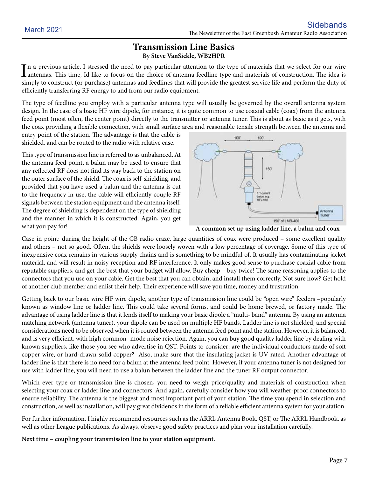#### **Transmission Line Basics By Steve VanSickle, WB2HPR**

In a previous article, I stressed the need to pay particular attention to the type of materials that we select for our wire<br>antennas. This time, Id like to focus on the choice of antenna feedline type and materials of cons antennas. This time, Id like to focus on the choice of antenna feedline type and materials of construction. The idea is simply to construct (or purchase) antennas and feedlines that will provide the greatest service life and perform the duty of efficiently transferring RF energy to and from our radio equipment.

The type of feedline you employ with a particular antenna type will usually be governed by the overall antenna system design. In the case of a basic HF wire dipole, for instance, it is quite common to use coaxial cable (coax) from the antenna feed point (most often, the center point) directly to the transmitter or antenna tuner. This is about as basic as it gets, with the coax providing a flexible connection, with small surface area and reasonable tensile strength between the antenna and

entry point of the station. The advantage is that the cable is shielded, and can be routed to the radio with relative ease.

This type of transmission line is referred to as unbalanced. At the antenna feed point, a balun may be used to ensure that any reflected RF does not find its way back to the station on the outer surface of the shield. The coax is self-shielding, and provided that you have used a balun and the antenna is cut to the frequency in use, the cable will efficiently couple RF signals between the station equipment and the antenna itself. The degree of shielding is dependent on the type of shielding and the manner in which it is constructed. Again, you get what you pay for!





Case in point: during the height of the CB radio craze, large quantities of coax were produced – some excellent quality and others – not so good. Often, the shields were loosely woven with a low percentage of coverage. Some of this type of inexpensive coax remains in various supply chains and is something to be mindful of. It usually has contaminating jacket material, and will result in noisy reception and RF interference. It only makes good sense to purchase coaxial cable from reputable suppliers, and get the best that your budget will allow. Buy cheap – buy twice! The same reasoning applies to the connectors that you use on your cable. Get the best that you can obtain, and install them correctly. Not sure how? Get hold of another club member and enlist their help. Their experience will save you time, money and frustration.

Getting back to our basic wire HF wire dipole, another type of transmission line could be "open wire" feeders –popularly known as window line or ladder line. This could take several forms, and could be home brewed, or factory made. The advantage of using ladder line is that it lends itself to making your basic dipole a "multi- band" antenna. By using an antenna matching network (antenna tuner), your dipole can be used on multiple HF bands. Ladder line is not shielded, and special considerations need to be observed when it is routed between the antenna feed point and the station. However, it is balanced, and is very efficient, with high common- mode noise rejection. Again, you can buy good quality ladder line by dealing with known suppliers, like those you see who advertise in QST. Points to consider: are the individual conductors made of soft copper wire, or hard-drawn solid copper? Also, make sure that the insulating jacket is UV rated. Another advantage of ladder line is that there is no need for a balun at the antenna feed point. However, if your antenna tuner is not designed for use with ladder line, you will need to use a balun between the ladder line and the tuner RF output connector.

Which ever type or transmission line is chosen, you need to weigh price/quality and materials of construction when selecting your coax or ladder line and connectors. And again, carefully consider how you will weather-proof connectors to ensure reliability. The antenna is the biggest and most important part of your station. The time you spend in selection and construction, as well as installation, will pay great dividends in the form of a reliable efficient antenna system for your station.

For further information, I highly recommend resources such as the ARRL Antenna Book, QST, or The ARRL Handbook, as well as other League publications. As always, observe good safety practices and plan your installation carefully.

**Next time – coupling your transmission line to your station equipment.**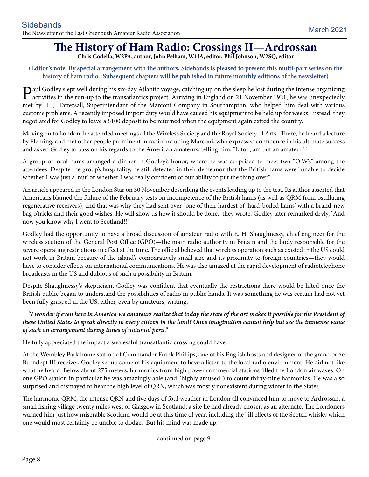### **The History of Ham Radio: Crossings II—Ardrossan**

**Chris Codella, W2PA, author, John Pelham, W1JA, editor, Phil Johnson, W2SQ, editor**

#### **(Editor's note: By special arrangement with the authors, Sidebands is pleased to present this multi-part series on the history of ham radio. Subsequent chapters will be published in future monthly editions of the newsletter)**

**P**aul Godley slept well during his six-day Atlantic voyage, catching up on the sleep he lost during the intense organizing<br>activities in the run-up to the transatlantics project. Arriving in England on 21 November 1921, h met by H. J. Tattersall, Superintendant of the Marconi Company in Southampton, who helped him deal with various customs problems. A recently imposed import duty would have caused his equipment to be held up for weeks. Instead, they negotiated for Godley to leave a \$100 deposit to be returned when the equipment again exited the country.

Moving on to London, he attended meetings of the Wireless Society and the Royal Society of Arts. There, he heard a lecture by Fleming, and met other people prominent in radio including Marconi, who expressed confidence in his ultimate success and asked Godley to pass on his regards to the American amateurs, telling him, "I, too, am but an amateur!"

A group of local hams arranged a dinner in Godley's honor, where he was surprised to meet two "O.W.'s" among the attendees. Despite the group's hospitality, he still detected in their demeanor that the British hams were "unable to decide whether I was just a 'nut' or whether I was really confident of our ability to put the thing over."

An article appeared in the London Star on 30 November describing the events leading up to the test. Its author asserted that Americans blamed the failure of the February tests on incompetence of the British hams (as well as QRM from oscillating regenerative receivers), and that was why they had sent over "one of their hardest of 'hard-boiled hams' with a brand-new bag o'tricks and their good wishes. He will show us how it should be done," they wrote. Godley later remarked dryly, "And now you know why I went to Scotland!!"

Godley had the opportunity to have a broad discussion of amateur radio with E. H. Shaughnessy, chief engineer for the wireless section of the General Post Office (GPO)—the main radio authority in Britain and the body responsible for the severe operating restrictions in effect at the time. The official believed that wireless operation such as existed in the US could not work in Britain because of the island's comparatively small size and its proximity to foreign countries—they would have to consider effects on international communications. He was also amazed at the rapid development of radiotelephone broadcasts in the US and dubious of such a possibility in Britain.

Despite Shaughnessy's skepticism, Godley was confident that eventually the restrictions there would be lifted once the British public began to understand the possibilities of radio in public hands. It was something he was certain had not yet been fully grasped in the US, either, even by amateurs, writing,

#### *"I wonder if even here in America we amateurs realize that today the state of the art makes it possible for the President of these United States to speak directly to every citizen in the land? One's imagination cannot help but see the immense value of such an arrangement during times of national peril."*

He fully appreciated the impact a successful transatlantic crossing could have.

At the Wembley Park home station of Commander Frank Phillips, one of his English hosts and designer of the grand prize Burndept III receiver, Godley set up some of his equipment to have a listen to the local radio environment. He did not like what he heard. Below about 275 meters, harmonics from high power commercial stations filled the London air waves. On one GPO station in particular he was amazingly able (and "highly amused") to count thirty-nine harmonics. He was also surprised and dismayed to hear the high level of QRN, which was mostly nonexistent during winter in the States.

The harmonic QRM, the intense QRN and five days of foul weather in London all convinced him to move to Ardrossan, a small fishing village twenty miles west of Glasgow in Scotland, a site he had already chosen as an alternate. The Londoners warned him just how miserable Scotland would be at this time of year, including the "ill effects of the Scotch whisky which one would most certainly be unable to dodge." But his mind was made up.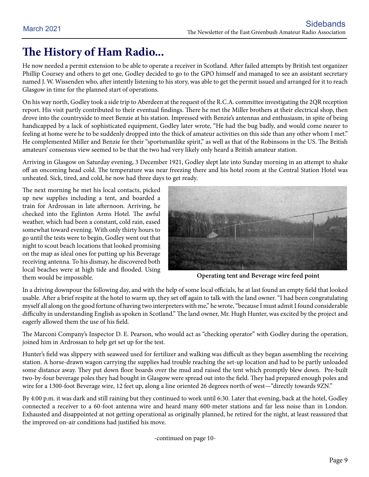### **The History of Ham Radio...**

He now needed a permit extension to be able to operate a receiver in Scotland. After failed attempts by British test organizer Phillip Coursey and others to get one, Godley decided to go to the GPO himself and managed to see an assistant secretary named J. W. Wissenden who, after intently listening to his story, was able to get the permit issued and arranged for it to reach Glasgow in time for the planned start of operations.

On his way north, Godley took a side trip to Aberdeen at the request of the R.C.A. committee investigating the 2QR reception report. His visit partly contributed to their eventual findings. There he met the Miller brothers at their electrical shop, then drove into the countryside to meet Benzie at his station. Impressed with Benzie's antennas and enthusiasm, in spite of being handicapped by a lack of sophisticated equipment, Godley later wrote, "He had the bug badly, and would come nearer to feeling at home were he to be suddenly dropped into the thick of amateur activities on this side than any other whom I met." He complemented Miller and Benzie for their "sportsmanlike spirit," as well as that of the Robinsons in the US. The British amateurs' consensus view seemed to be that the two had very likely only heard a British amateur station.

Arriving in Glasgow on Saturday evening, 3 December 1921, Godley slept late into Sunday morning in an attempt to shake off an oncoming head cold. The temperature was near freezing there and his hotel room at the Central Station Hotel was unheated. Sick, tired, and cold, he now had three days to get ready.

The next morning he met his local contacts, picked up new supplies including a tent, and boarded a train for Ardrossan in late afternoon. Arriving, he checked into the Eglinton Arms Hotel. The awful weather, which had been a constant, cold rain, eased somewhat toward evening. With only thirty hours to go until the tests were to begin, Godley went out that night to scout beach locations that looked promising on the map as ideal ones for putting up his Beverage receiving antenna. To his dismay, he discovered both local beaches were at high tide and flooded. Using them would be impossible.



**Operating tent and Beverage wire feed point**

In a driving downpour the following day, and with the help of some local officials, he at last found an empty field that looked usable. After a brief respite at the hotel to warm up, they set off again to talk with the land owner. "I had been congratulating myself all along on the good fortune of having two interpreters with me," he wrote, "because I must admit I found considerable difficulty in understanding English as spoken in Scotland." The land owner, Mr. Hugh Hunter, was excited by the project and eagerly allowed them the use of his field.

The Marconi Company's Inspector D. E. Pearson, who would act as "checking operator" with Godley during the operation, joined him in Ardrossan to help get set up for the test.

Hunter's field was slippery with seaweed used for fertilizer and walking was difficult as they began assembling the receiving station. A horse-drawn wagon carrying the supplies had trouble reaching the set-up location and had to be partly unloaded some distance away. They put down floor boards over the mud and raised the tent which promptly blew down. Pre-built two-by-four beverage poles they had bought in Glasgow were spread out into the field. They had prepared enough poles and wire for a 1300-foot Beverage wire, 12 feet up, along a line oriented 26 degrees north of west—"directly towards 9ZN."

By 4:00 p.m. it was dark and still raining but they continued to work until 6:30. Later that evening, back at the hotel, Godley connected a receiver to a 60-foot antenna wire and heard many 600-meter stations and far less noise than in London. Exhausted and disappointed at not getting operational as originally planned, he retired for the night, at least reassured that the improved on-air conditions had justified his move.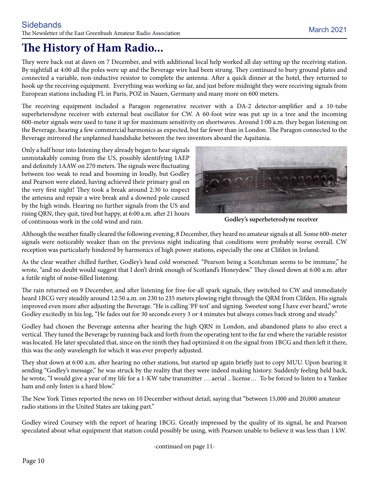### **The History of Ham Radio...**

They were back out at dawn on 7 December, and with additional local help worked all day setting up the receiving station. By nightfall at 4:00 all the poles were up and the Beverage wire had been strung. They continued to bury ground plates and connected a variable, non-inductive resistor to complete the antenna. After a quick dinner at the hotel, they returned to hook up the receiving equipment. Everything was working so far, and just before midnight they were receiving signals from European stations including FL in Paris, POZ in Nauen, Germany and many more on 600 meters.

The receiving equipment included a Paragon regenerative receiver with a DA-2 detector-amplifier and a 10-tube superheterodyne receiver with external beat oscillator for CW. A 60-foot wire was put up in a tree and the incoming 600-meter signals were used to tune it up for maximum sensitivity on shortwaves. Around 1:00 a.m. they began listening on the Beverage, hearing a few commercial harmonics as expected, but far fewer than in London. The Paragon connected to the Beverage mirrored the unplanned handshake between the two inventors aboard the Aquitania.

Only a half hour into listening they already began to hear signals unmistakably coming from the US, possibly identifying 1AEP and definitely 1AAW on 270 meters. The signals were fluctuating between too weak to read and booming in loudly, but Godley and Pearson were elated, having achieved their primary goal on the very first night! They took a break around 2:30 to inspect the antenna and repair a wire break and a downed pole caused by the high winds. Hearing no further signals from the US and rising QRN, they quit, tired but happy, at 6:00 a.m. after 21 hours of continuous work in the cold wind and rain.



**Godley's superheterodyne receiver**

Although the weather finally cleared the following evening, 8 December, they heard no amateur signals at all. Some 600-meter signals were noticeably weaker than on the previous night indicating that conditions were probably worse overall. CW reception was particularly hindered by harmonics of high power stations, especially the one at Clifden in Ireland.

As the clear weather chilled further, Godley's head cold worsened. "Pearson being a Scotchman seems to be immune," he wrote, "and no doubt would suggest that I don't drink enough of Scotland's Honeydew." They closed down at 6:00 a.m. after a futile night of noise-filled listening.

The rain returned on 9 December, and after listening for free-for-all spark signals, they switched to CW and immediately heard 1BCG very steadily around 12:50 a.m. on 230 to 235 meters plowing right through the QRM from Clifden. His signals improved even more after adjusting the Beverage. "He is calling 'PF test' and signing. Sweetest song I have ever heard," wrote Godley excitedly in his log, "He fades out for 30 seconds every 3 or 4 minutes but always comes back strong and steady."

Godley had chosen the Beverage antenna after hearing the high QRN in London, and abandoned plans to also erect a vertical. They tuned the Beverage by running back and forth from the operating tent to the far end where the variable resistor was located. He later speculated that, since on the ninth they had optimized it on the signal from 1BCG and then left it there, this was the only wavelength for which it was ever properly adjusted.

They shut down at 6:00 a.m. after hearing no other stations, but started up again briefly just to copy MUU. Upon hearing it sending "Godley's message," he was struck by the reality that they were indeed making history. Suddenly feeling held back, he wrote, "I would give a year of my life for a 1-KW tube transmitter … aerial .. license… To be forced to listen to a Yankee ham and only listen is a hard blow."

The New York Times reported the news on 10 December without detail, saying that "between 15,000 and 20,000 amateur radio stations in the United States are taking part."

Godley wired Coursey with the report of hearing 1BCG. Greatly impressed by the quality of its signal, he and Pearson speculated about what equipment that station could possibly be using, with Pearson unable to believe it was less than 1 kW.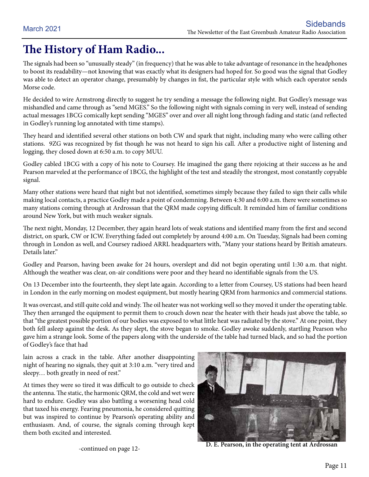### **The History of Ham Radio...**

The signals had been so "unusually steady" (in frequency) that he was able to take advantage of resonance in the headphones to boost its readability—not knowing that was exactly what its designers had hoped for. So good was the signal that Godley was able to detect an operator change, presumably by changes in fist, the particular style with which each operator sends Morse code.

He decided to wire Armstrong directly to suggest he try sending a message the following night. But Godley's message was mishandled and came through as "send MGES." So the following night with signals coming in very well, instead of sending actual messages 1BCG comically kept sending "MGES" over and over all night long through fading and static (and reflected in Godley's running log annotated with time stamps).

They heard and identified several other stations on both CW and spark that night, including many who were calling other stations. 9ZG was recognized by fist though he was not heard to sign his call. After a productive night of listening and logging, they closed down at 6:50 a.m. to copy MUU.

Godley cabled 1BCG with a copy of his note to Coursey. He imagined the gang there rejoicing at their success as he and Pearson marveled at the performance of 1BCG, the highlight of the test and steadily the strongest, most constantly copyable signal.

Many other stations were heard that night but not identified, sometimes simply because they failed to sign their calls while making local contacts, a practice Godley made a point of condemning. Between 4:30 and 6:00 a.m. there were sometimes so many stations coming through at Ardrossan that the QRM made copying difficult. It reminded him of familiar conditions around New York, but with much weaker signals.

The next night, Monday, 12 December, they again heard lots of weak stations and identified many from the first and second district, on spark, CW or ICW. Everything faded out completely by around 4:00 a.m. On Tuesday, Signals had been coming through in London as well, and Coursey radioed ARRL headquarters with, "Many your stations heard by British amateurs. Details later."

Godley and Pearson, having been awake for 24 hours, overslept and did not begin operating until 1:30 a.m. that night. Although the weather was clear, on-air conditions were poor and they heard no identifiable signals from the US.

On 13 December into the fourteenth, they slept late again. According to a letter from Coursey, US stations had been heard in London in the early morning on modest equipment, but mostly hearing QRM from harmonics and commercial stations.

It was overcast, and still quite cold and windy. The oil heater was not working well so they moved it under the operating table. They then arranged the equipment to permit them to crouch down near the heater with their heads just above the table, so that "the greatest possible portion of our bodies was exposed to what little heat was radiated by the stove." At one point, they both fell asleep against the desk. As they slept, the stove began to smoke. Godley awoke suddenly, startling Pearson who gave him a strange look. Some of the papers along with the underside of the table had turned black, and so had the portion of Godley's face that had

lain across a crack in the table. After another disappointing night of hearing no signals, they quit at 3:10 a.m. "very tired and sleepy… both greatly in need of rest."

At times they were so tired it was difficult to go outside to check the antenna. The static, the harmonic QRM, the cold and wet were hard to endure. Godley was also battling a worsening head cold that taxed his energy. Fearing pneumonia, he considered quitting but was inspired to continue by Pearson's operating ability and enthusiasm. And, of course, the signals coming through kept them both excited and interested.



-continued on page 12- **D. E. Pearson, in the operating tent at Ardrossan**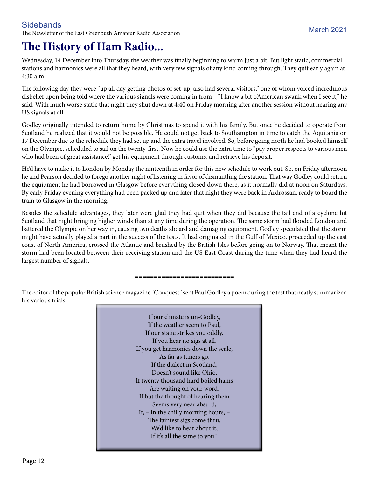### **Sidebands**

The Newsletter of the East Greenbush Amateur Radio Association March 2021

### **The History of Ham Radio...**

Wednesday, 14 December into Thursday, the weather was finally beginning to warm just a bit. But light static, commercial stations and harmonics were all that they heard, with very few signals of any kind coming through. They quit early again at 4:30 a.m.

The following day they were "up all day getting photos of set-up; also had several visitors," one of whom voiced incredulous disbelief upon being told where the various signals were coming in from—"I know a bit o'American swank when I see it," he said. With much worse static that night they shut down at 4:40 on Friday morning after another session without hearing any US signals at all.

Godley originally intended to return home by Christmas to spend it with his family. But once he decided to operate from Scotland he realized that it would not be possible. He could not get back to Southampton in time to catch the Aquitania on 17 December due to the schedule they had set up and the extra travel involved. So, before going north he had booked himself on the Olympic, scheduled to sail on the twenty-first. Now he could use the extra time to "pay proper respects to various men who had been of great assistance," get his equipment through customs, and retrieve his deposit.

He'd have to make it to London by Monday the ninteenth in order for this new schedule to work out. So, on Friday afternoon he and Pearson decided to forego another night of listening in favor of dismantling the station. That way Godley could return the equipment he had borrowed in Glasgow before everything closed down there, as it normally did at noon on Saturdays. By early Friday evening everything had been packed up and later that night they were back in Ardrossan, ready to board the train to Glasgow in the morning.

Besides the schedule advantages, they later were glad they had quit when they did because the tail end of a cyclone hit Scotland that night bringing higher winds than at any time during the operation. The same storm had flooded London and battered the Olympic on her way in, causing two deaths aboard and damaging equipment. Godley speculated that the storm might have actually played a part in the success of the tests. It had originated in the Gulf of Mexico, proceeded up the east coast of North America, crossed the Atlantic and brushed by the British Isles before going on to Norway. That meant the storm had been located between their receiving station and the US East Coast during the time when they had heard the largest number of signals.

#### **==========================**

The editor of the popular British science magazine "Conquest" sent Paul Godley a poem during the test that neatly summarized his various trials:

> If our climate is un-Godley, If the weather seem to Paul, If our static strikes you oddly, If you hear no sigs at all, If you get harmonics down the scale, As far as tuners go, If the dialect in Scotland, Doesn't sound like Ohio, If twenty thousand hard boiled hams Are waiting on your word, If but the thought of hearing them Seems very near absurd, If, – in the chilly morning hours, – The faintest sigs come thru, We'd like to hear about it, If it's all the same to you!!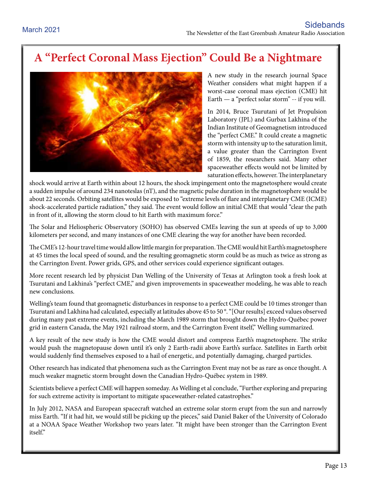### **A "Perfect Coronal Mass Ejection" Could Be a Nightmare**



A new study in the research journal Space Weather considers what might happen if a worst-case coronal mass ejection (CME) hit Earth — a "perfect solar storm" -- if you will.

In 2014, Bruce Tsurutani of Jet Propulsion Laboratory (JPL) and Gurbax Lakhina of the Indian Institute of Geomagnetism introduced the "perfect CME." It could create a magnetic storm with intensity up to the saturation limit, a value greater than the Carrington Event of 1859, the researchers said. Many other spaceweather effects would not be limited by saturation effects, however. The interplanetary

shock would arrive at Earth within about 12 hours, the shock impingement onto the magnetosphere would create a sudden impulse of around 234 nanoteslas (nT), and the magnetic pulse duration in the magnetosphere would be about 22 seconds. Orbiting satellites would be exposed to "extreme levels of flare and interplanetary CME (ICME) shock-accelerated particle radiation," they said. The event would follow an initial CME that would "clear the path in front of it, allowing the storm cloud to hit Earth with maximum force."

The Solar and Heliospheric Observatory (SOHO) has observed CMEs leaving the sun at speeds of up to 3,000 kilometers per second, and many instances of one CME clearing the way for another have been recorded.

The CME's 12-hour travel time would allow little margin for preparation. The CME would hit Earth's magnetosphere at 45 times the local speed of sound, and the resulting geomagnetic storm could be as much as twice as strong as the Carrington Event. Power grids, GPS, and other services could experience significant outages.

More recent research led by physicist Dan Welling of the University of Texas at Arlington took a fresh look at Tsurutani and Lakhina's "perfect CME," and given improvements in spaceweather modeling, he was able to reach new conclusions.

Welling's team found that geomagnetic disturbances in response to a perfect CME could be 10 times stronger than Tsurutani and Lakhina had calculated, especially at latitudes above 45 to 50 °. "[Our results] exceed values observed during many past extreme events, including the March 1989 storm that brought down the Hydro-Québec power grid in eastern Canada, the May 1921 railroad storm, and the Carrington Event itself," Welling summarized.

A key result of the new study is how the CME would distort and compress Earth's magnetosphere. The strike would push the magnetopause down until it's only 2 Earth-radii above Earth's surface. Satellites in Earth orbit would suddenly find themselves exposed to a hail of energetic, and potentially damaging, charged particles.

Other research has indicated that phenomena such as the Carrington Event may not be as rare as once thought. A much weaker magnetic storm brought down the Canadian Hydro‐Québec system in 1989.

Scientists believe a perfect CME will happen someday. As Welling et al conclude, "Further exploring and preparing for such extreme activity is important to mitigate spaceweather-related catastrophes."

In July 2012, NASA and European spacecraft watched an extreme solar storm erupt from the sun and narrowly miss Earth. "If it had hit, we would still be picking up the pieces," said Daniel Baker of the University of Colorado at a NOAA Space Weather Workshop two years later. "It might have been stronger than the Carrington Event itself."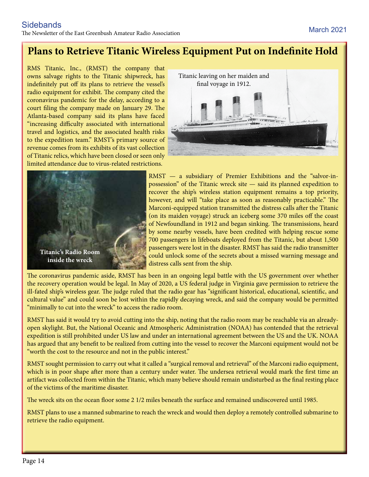### **Plans to Retrieve Titanic Wireless Equipment Put on Indefinite Hold**

RMS Titanic, Inc., (RMST) the company that owns salvage rights to the Titanic shipwreck, has indefinitely put off its plans to retrieve the vessel's radio equipment for exhibit. The company cited the coronavirus pandemic for the delay, according to a court filing the company made on January 29. The Atlanta-based company said its plans have faced "increasing difficulty associated with international travel and logistics, and the associated health risks to the expedition team." RMST's primary source of revenue comes from its exhibits of its vast collection of Titanic relics, which have been closed or seen only limited attendance due to virus-related restrictions.





RMST — a subsidiary of Premier Exhibitions and the "salvor-inpossession" of the Titanic wreck site — said its planned expedition to recover the ship's wireless station equipment remains a top priority, however, and will "take place as soon as reasonably practicable." The Marconi-equipped station transmitted the distress calls after the Titanic (on its maiden voyage) struck an iceberg some 370 miles off the coast of Newfoundland in 1912 and began sinking. The transmissions, heard by some nearby vessels, have been credited with helping rescue some 700 passengers in lifeboats deployed from the Titanic, but about 1,500 passengers were lost in the disaster. RMST has said the radio transmitter could unlock some of the secrets about a missed warning message and distress calls sent from the ship.

The coronavirus pandemic aside, RMST has been in an ongoing legal battle with the US government over whether the recovery operation would be legal. In May of 2020, a US federal judge in Virginia gave permission to retrieve the ill-fated ship's wireless gear. The judge ruled that the radio gear has "significant historical, educational, scientific, and cultural value" and could soon be lost within the rapidly decaying wreck, and said the company would be permitted "minimally to cut into the wreck" to access the radio room.

RMST has said it would try to avoid cutting into the ship, noting that the radio room may be reachable via an alreadyopen skylight. But, the National Oceanic and Atmospheric Administration (NOAA) has contended that the retrieval expedition is still prohibited under US law and under an international agreement between the US and the UK. NOAA has argued that any benefit to be realized from cutting into the vessel to recover the Marconi equipment would not be "worth the cost to the resource and not in the public interest."

RMST sought permission to carry out what it called a "surgical removal and retrieval" of the Marconi radio equipment, which is in poor shape after more than a century under water. The undersea retrieval would mark the first time an artifact was collected from within the Titanic, which many believe should remain undisturbed as the final resting place of the victims of the maritime disaster.

The wreck sits on the ocean floor some 2 1/2 miles beneath the surface and remained undiscovered until 1985.

RMST plans to use a manned submarine to reach the wreck and would then deploy a remotely controlled submarine to retrieve the radio equipment.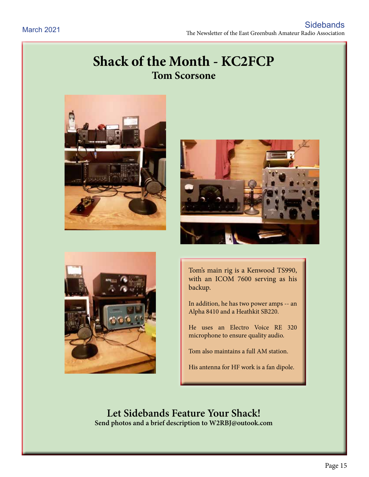### **Shack of the Month - KC2FCP Tom Scorsone**







Tom's main rig is a Kenwood TS990, with an ICOM 7600 serving as his backup.

In addition, he has two power amps -- an Alpha 8410 and a Heathkit SB220.

He uses an Electro Voice RE 320 microphone to ensure quality audio.

Tom also maintains a full AM station.

His antenna for HF work is a fan dipole.

**Let Sidebands Feature Your Shack! Send photos and a brief description to W2RBJ@outook.com**